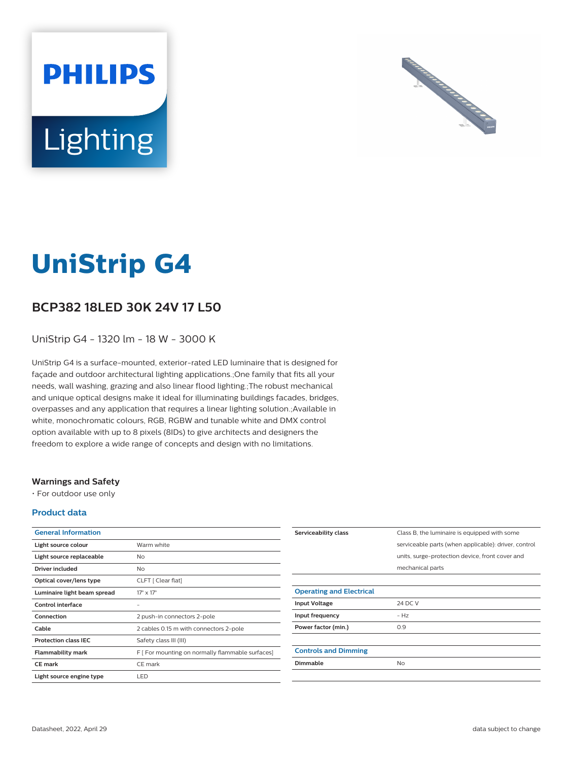# **PHILIPS** Lighting



# **UniStrip G4**

# **BCP382 18LED 30K 24V 17 L50**

UniStrip G4 - 1320 lm - 18 W - 3000 K

UniStrip G4 is a surface-mounted, exterior-rated LED luminaire that is designed for façade and outdoor architectural lighting applications.;One family that fits all your needs, wall washing, grazing and also linear flood lighting.;The robust mechanical and unique optical designs make it ideal for illuminating buildings facades, bridges, overpasses and any application that requires a linear lighting solution.;Available in white, monochromatic colours, RGB, RGBW and tunable white and DMX control option available with up to 8 pixels (8IDs) to give architects and designers the freedom to explore a wide range of concepts and design with no limitations.

### **Warnings and Safety**

• For outdoor use only

#### **Product data**

| <b>General Information</b>  |                                                  |
|-----------------------------|--------------------------------------------------|
| Light source colour         | Warm white                                       |
| Light source replaceable    | No                                               |
| Driver included             | No                                               |
| Optical cover/lens type     | CLFT [ Clear flat]                               |
| Luminaire light beam spread | $17^{\circ} \times 17^{\circ}$                   |
| Control interface           |                                                  |
| Connection                  | 2 push-in connectors 2-pole                      |
| Cable                       | 2 cables 0.15 m with connectors 2-pole           |
| <b>Protection class IEC</b> | Safety class III (III)                           |
| <b>Flammability mark</b>    | F [ For mounting on normally flammable surfaces] |
| <b>CE</b> mark              | CE mark                                          |
| Light source engine type    | LED.                                             |

| Class B, the luminaire is equipped with some         |
|------------------------------------------------------|
| serviceable parts (when applicable): driver, control |
| units, surge-protection device, front cover and      |
| mechanical parts                                     |
|                                                      |
|                                                      |
| 24 DC V                                              |
| $-HZ$                                                |
| 0.9                                                  |
|                                                      |
|                                                      |
| <b>No</b>                                            |
|                                                      |
|                                                      |